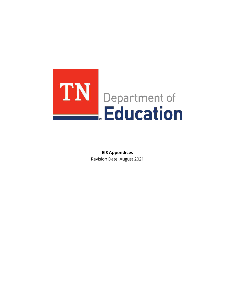

**EIS Appendices** Revision Date: August 2021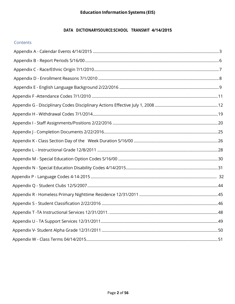#### DATA DICTIONARYSOURCE:SCHOOL TRANSMIT 4/14/2015

#### Contents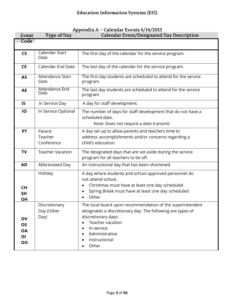<span id="page-2-0"></span>

| Event                             | Type of Day                         | <b>Calendar Event/Designated Day Description</b>                                                                                                                                                                                                       |  |
|-----------------------------------|-------------------------------------|--------------------------------------------------------------------------------------------------------------------------------------------------------------------------------------------------------------------------------------------------------|--|
| Code                              |                                     |                                                                                                                                                                                                                                                        |  |
| $\mathsf{CS}\phantom{0}$          | Calendar Start<br>Date              | The first day of the calendar for the service program.                                                                                                                                                                                                 |  |
| <b>CE</b>                         | <b>Calendar End Date</b>            | The last day of the calendar for the service program.                                                                                                                                                                                                  |  |
| <b>AS</b>                         | Attendance Start<br>Date            | The first day students are scheduled to attend for the service<br>program.                                                                                                                                                                             |  |
| <b>AE</b>                         | Attendance End<br>Date              | The last day students are scheduled to attend for the service<br>program                                                                                                                                                                               |  |
| IS                                | In Service Day                      | A day for staff development.                                                                                                                                                                                                                           |  |
| IO                                | In Service Optional                 | The number of days for staff development that do not have a<br>scheduled date.<br>Note: Does not require a date transmit.                                                                                                                              |  |
| <b>PT</b>                         | Parent-<br>Teacher<br>Conference    | A day set up to allow parents and teachers time to<br>address accomplishments and/or concerns regarding a<br>child's education.                                                                                                                        |  |
| <b>TV</b>                         | <b>Teacher Vacation</b>             | The designated days that are set aside during the service<br>program for all teachers to be off.                                                                                                                                                       |  |
| <b>AD</b>                         | Abbreviated Day                     | An instructional day that has been shortened.                                                                                                                                                                                                          |  |
| <b>CH</b><br><b>SH</b><br>ОH      | Holiday                             | A day where students and school approved personnel do<br>not attend school.<br>Christmas must have at least one day scheduled<br>Spring Break must have at least one day scheduled<br>Other                                                            |  |
| OV<br>OS<br><b>OA</b><br>OI<br>OO | Discretionary<br>Day (Other<br>Day) | The local board upon recommendation of the superintendent<br>designates a discretionary day. The following are types of<br>discretionary days:<br>Teacher vacation<br>$\bullet$<br>In-service<br>$\bullet$<br>Administrative<br>Instructional<br>Other |  |

# Appendix A - Calendar Events 4/14/2015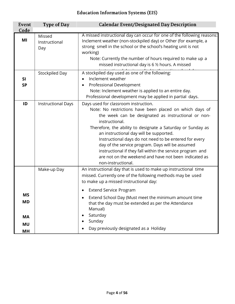| Event                                                         | Type of Day                    | <b>Calendar Event/Designated Day Description</b>                                                                                                                                                                                                                                                                                                                                                                                                                                                                                             |
|---------------------------------------------------------------|--------------------------------|----------------------------------------------------------------------------------------------------------------------------------------------------------------------------------------------------------------------------------------------------------------------------------------------------------------------------------------------------------------------------------------------------------------------------------------------------------------------------------------------------------------------------------------------|
| Code                                                          |                                |                                                                                                                                                                                                                                                                                                                                                                                                                                                                                                                                              |
| MI                                                            | Missed<br>Instructional<br>Day | A missed instructional day can occur for one of the following reasons:<br>Inclement weather (non-stockpiled day) or Other (for example, a<br>strong smell in the school or the school's heating unit is not<br>working)<br>Note: Currently the number of hours required to make up a<br>missed instructional day is 6 % hours. A missed                                                                                                                                                                                                      |
| SI<br><b>SP</b>                                               | Stockpiled Day                 | A stockpiled day used as one of the following:<br>Inclement weather<br>Professional Development<br>$\bullet$<br>Note: Inclement weather is applied to an entire day.<br>Professional development may be applied in partial days.                                                                                                                                                                                                                                                                                                             |
| ID                                                            | <b>Instructional Days</b>      | Days used for classroom instruction.<br>Note: No restrictions have been placed on which days of<br>the week can be designated as instructional or non-<br>instructional.<br>Therefore, the ability to designate a Saturday or Sunday as<br>an instructional day will be supported.<br>Instructional days do not need to be entered for every<br>day of the service program. Days will be assumed<br>instructional if they fall within the service program and<br>are not on the weekend and have not been indicated as<br>non-instructional. |
|                                                               | Make-up Day                    | An instructional day that is used to make up instructional time<br>missed. Currently one of the following methods may be used<br>to make up a missed instructional day:                                                                                                                                                                                                                                                                                                                                                                      |
| <b>MS</b><br><b>MD</b><br><b>MA</b><br><b>MU</b><br><b>MH</b> |                                | <b>Extend Service Program</b><br>Extend School Day (Must meet the minimum amount time<br>that the day must be extended as per the Attendance<br>Manual)<br>Saturday<br>Sunday<br>Day previously designated as a Holiday                                                                                                                                                                                                                                                                                                                      |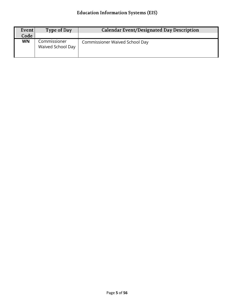| Event  <br>Code | Type of Day                       | Calendar Event/Designated Day Description |
|-----------------|-----------------------------------|-------------------------------------------|
| <b>WN</b>       | Commissioner<br>Waived School Day | <b>Commissioner Waived School Day</b>     |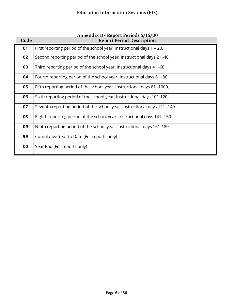<span id="page-5-0"></span>

| Code | Appendix b - Report Ferious 3/10/00<br><b>Report Period Description</b>   |
|------|---------------------------------------------------------------------------|
| 01   | First reporting period of the school year. Instructional days 1 - 20.     |
| 02   | Second reporting period of the school year. Instructional days 21 -40.    |
| 03   | Third reporting period of the school year. Instructional days 41 -60.     |
| 04   | Fourth reporting period of the school year. Instructional days 61 -80.    |
| 05   | Fifth reporting period of the school year. Instructional days 81 -1000.   |
| 06   | Sixth reporting period of the school year. Instructional days 101-120.    |
| 07   | Seventh reporting period of the school year. Instructional days 121 -140. |
| 08   | Eighth reporting period of the school year. Instructional days 141 -160.  |
| 09   | Ninth reporting period of the school year. Instructional days 161-180.    |
| 99   | Cumulative Year to Date (For reports only)                                |
| 00   | Year End (For reports only)                                               |

# Annendix R - Report Periods 5/16/00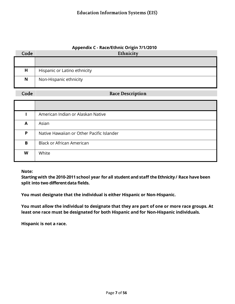#### **Appendix C - Race/Ethnic Origin 7/1/2010**

<span id="page-6-0"></span>

| Code | Ethnicity                    |
|------|------------------------------|
|      |                              |
| Н    | Hispanic or Latino ethnicity |
| N    | Non-Hispanic ethnicity       |

Code

#### **Race Description**

|   | American Indian or Alaskan Native         |
|---|-------------------------------------------|
| A | Asian                                     |
| P | Native Hawaiian or Other Pacific Islander |
| B | <b>Black or African American</b>          |
| W | White                                     |

**Note:**

**Starting with the 2010-2011 school year for all student and staff the Ethnicity/ Race have been split into two differentdata fields.**

**You must designate that the individual is either Hispanic or Non-Hispanic.**

**You must allow the individual to designate that they are part of one or more race groups. At least one race must be designated for both Hispanic and for Non-Hispanic individuals.**

**Hispanic is not a race.**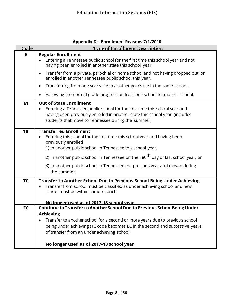<span id="page-7-0"></span>

| Code      | <b>Type of Enrollment Description</b>                                                                                                                                                                            |
|-----------|------------------------------------------------------------------------------------------------------------------------------------------------------------------------------------------------------------------|
| Е         | <b>Regular Enrollment</b><br>Entering a Tennessee public school for the first time this school year and not                                                                                                      |
|           | having been enrolled in another state this school year.                                                                                                                                                          |
|           | Transfer from a private, parochial or home school and not having dropped out or<br>$\bullet$<br>enrolled in another Tennessee public school this year.                                                           |
|           | Transferring from one year's file to another year's file in the same school.<br>$\bullet$                                                                                                                        |
|           | Following the normal grade progression from one school to another school.                                                                                                                                        |
| E1        | <b>Out of State Enrollment</b>                                                                                                                                                                                   |
|           | Entering a Tennessee public school for the first time this school year and<br>having been previously enrolled in another state this school year (includes<br>students that move to Tennessee during the summer). |
| <b>TR</b> | <b>Transferred Enrollment</b>                                                                                                                                                                                    |
|           | Entering this school for the first time this school year and having been                                                                                                                                         |
|           | previously enrolled<br>1) in another public school in Tennessee this school year.                                                                                                                                |
|           |                                                                                                                                                                                                                  |
|           | 2) in another public school in Tennessee on the 180 <sup>th</sup> day of last school year, or                                                                                                                    |
|           | 3) in another public school in Tennessee the previous year and moved during<br>the summer.                                                                                                                       |
|           |                                                                                                                                                                                                                  |
| <b>TC</b> | <b>Transfer to Another School Due to Previous School Being Under Achieving</b>                                                                                                                                   |
|           | Transfer from school must be classified as under achieving school and new<br>school must be within same district                                                                                                 |
|           |                                                                                                                                                                                                                  |
|           | No longer used as of 2017-18 school vear                                                                                                                                                                         |
| <b>EC</b> | Continue to Transfer to Another School Due to Previous School Being Under<br><b>Achieving</b>                                                                                                                    |
|           | Transfer to another school for a second or more years due to previous school                                                                                                                                     |
|           | being under achieving (TC code becomes EC in the second and successive years                                                                                                                                     |
|           | of transfer from an under achieving school)                                                                                                                                                                      |
|           |                                                                                                                                                                                                                  |
|           | No longer used as of 2017-18 school year                                                                                                                                                                         |

# **Appendix D – Enrollment Reasons 7/1/2010**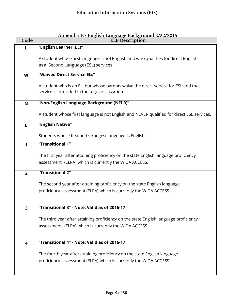<span id="page-8-0"></span>

| Code           | Appendix E - English Language Background 2/22/2016<br><b>ELB</b> Description                                                                  |
|----------------|-----------------------------------------------------------------------------------------------------------------------------------------------|
| L              | "English Learner (EL)"                                                                                                                        |
|                | A student whose first language is not English and who qualifies for direct English<br>as a Second Language (ESL) services.                    |
| W              | "Waived Direct Service ELs"                                                                                                                   |
|                | A student who is an EL, but whose parents waive the direct service for ESL and that<br>service is provided in the regular classroom.          |
| N              | "Non-English Language Background (NELB)"                                                                                                      |
|                | A student whose first language is not English and NEVER qualified for direct ESL services.                                                    |
| E.             | "English Native"                                                                                                                              |
|                | Students whose first and strongest language is English.                                                                                       |
| 1              | "Transitional 1"                                                                                                                              |
|                | The first year after attaining proficiency on the state English language proficiency<br>assessment (ELPA) which is currently the WIDA ACCESS. |
| $\overline{2}$ | "Transitional 2"                                                                                                                              |
|                | The second year after attaining proficiency on the state English language                                                                     |
|                | proficiency assessment (ELPA) which is currently the WIDA ACCESS.                                                                             |
|                | "Transitional 3" - Note: Valid as of 2016-17                                                                                                  |
| 3              |                                                                                                                                               |
|                | The third year after attaining proficiency on the state English language proficiency                                                          |
|                | assessment (ELPA) which is currently the WIDA ACCESS.                                                                                         |
| 4              | "Transitional 4" - Note: Valid as of 2016-17                                                                                                  |
|                | The fourth year after attaining proficiency on the state English language                                                                     |
|                | proficiency assessment (ELPA) which is currently the WIDA ACCESS.                                                                             |
|                |                                                                                                                                               |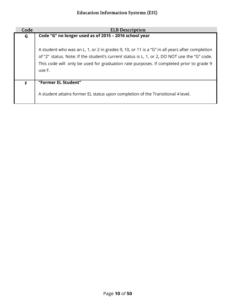| Code | <b>ELB Description</b>                                                                                                                                                                                                                                                                             |
|------|----------------------------------------------------------------------------------------------------------------------------------------------------------------------------------------------------------------------------------------------------------------------------------------------------|
| G    | Code "G" no longer used as of 2015 - 2016 school year                                                                                                                                                                                                                                              |
|      | A student who was an L, 1, or 2 in grades 9, 10, or 11 is a "G" in all years after completion<br>of "2" status. Note: If the student's current status is L, 1, or 2, DO NOT use the "G" code.<br>This code will only be used for graduation rate purposes. If completed prior to grade 9<br>use F. |
| F    | "Former EL Student"                                                                                                                                                                                                                                                                                |
|      | A student attains former EL status upon completion of the Transitional 4 level.                                                                                                                                                                                                                    |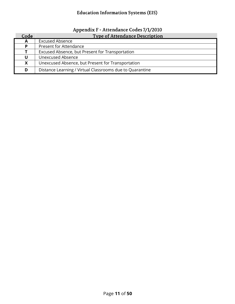|  | Appendix F - Attendance Codes 7/1/2010 |
|--|----------------------------------------|
|  |                                        |

<span id="page-10-0"></span>

| Code | <b>Type of Attendance Description</b>                    |
|------|----------------------------------------------------------|
| A    | <b>Excused Absence</b>                                   |
| P    | <b>Present for Attendance</b>                            |
|      | Excused Absence, but Present for Transportation          |
| U    | Unexcused Absence                                        |
| X    | Unexcused Absence, but Present for Transportation        |
| D    | Distance Learning / Virtual Classrooms due to Quarantine |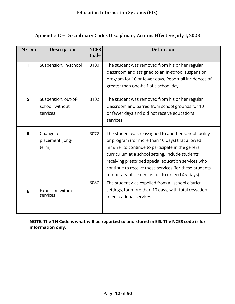<span id="page-11-0"></span>

| <b>TN Code</b> | Description                                        | <b>NCES</b><br>Code | Definition                                                                                                                                                                                                                                                                                                                                                                                                                                 |
|----------------|----------------------------------------------------|---------------------|--------------------------------------------------------------------------------------------------------------------------------------------------------------------------------------------------------------------------------------------------------------------------------------------------------------------------------------------------------------------------------------------------------------------------------------------|
|                | Suspension, in-school                              | 3100                | The student was removed from his or her regular<br>classroom and assigned to an in-school suspension<br>program for 10 or fewer days. Report all incidences of<br>greater than one-half of a school day.                                                                                                                                                                                                                                   |
| S              | Suspension, out-of-<br>school, without<br>services | 3102                | The student was removed from his or her regular<br>classroom and barred from school grounds for 10<br>or fewer days and did not receive educational<br>services.                                                                                                                                                                                                                                                                           |
| $\mathbf{R}$   | Change of<br>placement (long-<br>term)             | 3072<br>3087        | The student was reassigned to another school facility<br>or program (for more than 10 days) that allowed<br>him/her to continue to participate in the general<br>curriculum at a school setting. Include students<br>receiving prescribed special education services who<br>continue to receive these services (for these students,<br>temporary placement is not to exceed 45 days).<br>The student was expelled from all school district |
| E              | Expulsion without<br>services                      |                     | settings, for more than 10 days, with total cessation<br>of educational services.                                                                                                                                                                                                                                                                                                                                                          |

**NOTE: The TN Code is what will be reported to and stored in EIS. The NCES code is for information only.**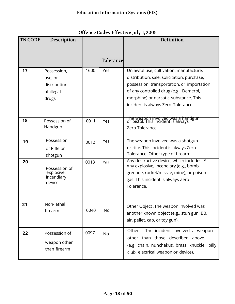| <b>TN CODE</b> | Description                                                   |      |           | Definition                                                                                                                                                                                                                                                    |
|----------------|---------------------------------------------------------------|------|-----------|---------------------------------------------------------------------------------------------------------------------------------------------------------------------------------------------------------------------------------------------------------------|
|                |                                                               |      |           |                                                                                                                                                                                                                                                               |
|                |                                                               |      | Tolerance |                                                                                                                                                                                                                                                               |
| 17             | Possession,<br>use, or<br>distribution<br>of illegal<br>drugs | 1600 | Yes       | Unlawful use, cultivation, manufacture,<br>distribution, sale, solicitation, purchase,<br>possession, transportation, or importation<br>of any controlled drug (e.g., Demerol,<br>morphine) or narcotic substance. This<br>incident is always Zero Tolerance. |
| 18             | Possession of<br>Handgun                                      | 0011 | Yes       | The weapon involved was a handgun<br>or pistol. This incident is always<br>Zero Tolerance.                                                                                                                                                                    |
| 19             | Possession<br>of Rifle or<br>shotgun                          | 0012 | Yes       | The weapon involved was a shotgun<br>or rifle. This incident is always Zero<br>Tolerance. Other type of firearm                                                                                                                                               |
| 20             | Possession of<br>explosive,<br>incendiary<br>device           | 0013 | Yes       | Any destructive device, which includes: *<br>Any explosive, incendiary (e.g., bomb,<br>grenade, rocket/missile, mine), or poison<br>gas. This incident is always Zero<br>Tolerance.                                                                           |
| 21             | Non-lethal<br>firearm                                         | 0040 | No        | Other Object .The weapon involved was<br>another known object (e.g., stun gun, BB,<br>air, pellet, cap, or toy gun).                                                                                                                                          |
| 22             | Possession of<br>weapon other<br>than firearm                 | 0097 | No        | Other - The incident involved a weapon<br>other than those described above<br>(e.g., chain, nunchakus, brass knuckle, billy<br>club, electrical weapon or device).                                                                                            |

# Offence Codes Effective July 1, 2008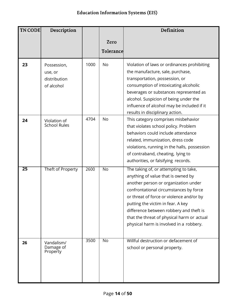| <b>TN CODE</b>  | Description             |      |                  | Definition                                   |
|-----------------|-------------------------|------|------------------|----------------------------------------------|
|                 |                         |      | Zero             |                                              |
|                 |                         |      | <b>Tolerance</b> |                                              |
|                 |                         |      |                  |                                              |
| 23              | Possession,             | 1000 | <b>No</b>        | Violation of laws or ordinances prohibiting  |
|                 | use, or                 |      |                  | the manufacture, sale, purchase,             |
|                 | distribution            |      |                  | transportation, possession, or               |
|                 | of alcohol              |      |                  | consumption of intoxicating alcoholic        |
|                 |                         |      |                  | beverages or substances represented as       |
|                 |                         |      |                  | alcohol. Suspicion of being under the        |
|                 |                         |      |                  | influence of alcohol may be included if it   |
|                 |                         |      |                  | results in disciplinary action.              |
| 24              | Violation of            | 4704 | <b>No</b>        | This category comprises misbehavior          |
|                 | <b>School Rules</b>     |      |                  | that violates school policy. Problem         |
|                 |                         |      |                  | behaviors could include attendance           |
|                 |                         |      |                  | related, immunization, dress code            |
|                 |                         |      |                  | violations, running in the halls, possession |
|                 |                         |      |                  | of contraband, cheating, lying to            |
|                 |                         |      |                  | authorities, or falsifying records.          |
| $\overline{25}$ | Theft of Property       | 2600 | <b>No</b>        | The taking of, or attempting to take,        |
|                 |                         |      |                  | anything of value that is owned by           |
|                 |                         |      |                  | another person or organization under         |
|                 |                         |      |                  | confrontational circumstances by force       |
|                 |                         |      |                  | or threat of force or violence and/or by     |
|                 |                         |      |                  | putting the victim in fear. A key            |
|                 |                         |      |                  | difference between robbery and theft is      |
|                 |                         |      |                  | that the threat of physical harm or actual   |
|                 |                         |      |                  | physical harm is involved in a robbery.      |
|                 |                         |      |                  | Willful destruction or defacement of         |
| 26              | Vandalism/<br>Damage of | 3500 | <b>No</b>        | school or personal property.                 |
|                 | Property                |      |                  |                                              |
|                 |                         |      |                  |                                              |
|                 |                         |      |                  |                                              |
|                 |                         |      |                  |                                              |
|                 |                         |      |                  |                                              |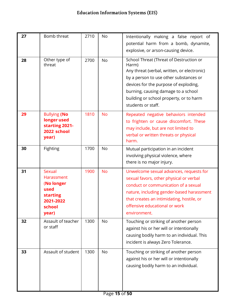| 27 | Bomb threat                                                                                   | 2710 | No        | Intentionally making a false report of<br>potential harm from a bomb, dynamite,<br>explosive, or arson-causing device.                                                                                                                                                                     |
|----|-----------------------------------------------------------------------------------------------|------|-----------|--------------------------------------------------------------------------------------------------------------------------------------------------------------------------------------------------------------------------------------------------------------------------------------------|
| 28 | Other type of<br>threat                                                                       | 2700 | <b>No</b> | School Threat (Threat of Destruction or<br>Harm)<br>Any threat (verbal, written, or electronic)<br>by a person to use other substances or<br>devices for the purpose of exploding,<br>burning, causing damage to a school<br>building or school property, or to harm<br>students or staff. |
| 29 | <b>Bullying (No</b><br>longer used<br>starting 2021-<br>2022 school<br>year)                  | 1810 | <b>No</b> | Repeated negative behaviors intended<br>to frighten or cause discomfort. These<br>may include, but are not limited to<br>verbal or written threats or physical<br>harm.                                                                                                                    |
| 30 | Fighting                                                                                      | 1700 | No        | Mutual participation in an incident<br>involving physical violence, where<br>there is no major injury.                                                                                                                                                                                     |
| 31 | Sexual<br>Harassment<br>(No longer<br>used<br><b>starting</b><br>2021-2022<br>school<br>year) | 1900 | <b>No</b> | Unwelcome sexual advances, requests for<br>sexual favors, other physical or verbal<br>conduct or communication of a sexual<br>nature, including gender-based harassment<br>that creates an intimidating, hostile, or<br>offensive educational or work<br>environment.                      |
| 32 | Assault of teacher<br>or staff                                                                | 1300 | No        | Touching or striking of another person<br>against his or her will or intentionally<br>causing bodily harm to an individual. This<br>incident is always Zero Tolerance.                                                                                                                     |
| 33 | Assault of student                                                                            | 1300 | No        | Touching or striking of another person<br>against his or her will or intentionally<br>causing bodily harm to an individual.                                                                                                                                                                |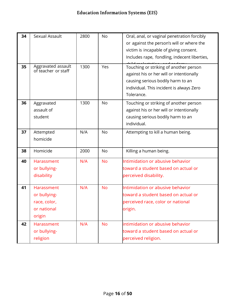| 34 | Sexual Assault                                                             | 2800 | No        | Oral, anal, or vaginal penetration forcibly<br>or against the person's will or where the                                                                                          |
|----|----------------------------------------------------------------------------|------|-----------|-----------------------------------------------------------------------------------------------------------------------------------------------------------------------------------|
|    |                                                                            |      |           | victim is incapable of giving consent.<br>Includes rape, fondling, indecent liberties,                                                                                            |
| 35 | Aggravated assault<br>of teacher or staff                                  | 1300 | Yes       | Touching or striking of another person<br>against his or her will or intentionally<br>causing serious bodily harm to an<br>individual. This incident is always Zero<br>Tolerance. |
| 36 | Aggravated<br>assault of<br>student                                        | 1300 | <b>No</b> | Touching or striking of another person<br>against his or her will or intentionally<br>causing serious bodily harm to an<br>individual.                                            |
| 37 | Attempted<br>homicide                                                      | N/A  | No        | Attempting to kill a human being.                                                                                                                                                 |
| 38 | Homicide                                                                   | 2000 | No        | Killing a human being.                                                                                                                                                            |
| 40 | <b>Harassment</b><br>or bullying-<br>disability                            | N/A  | <b>No</b> | Intimidation or abusive behavior<br>toward a student based on actual or<br>perceived disability.                                                                                  |
| 41 | <b>Harassment</b><br>or bullying-<br>race, color,<br>or national<br>origin | N/A  | <b>No</b> | Intimidation or abusive behavior<br>toward a student based on actual or<br>perceived race, color or national<br>origin.                                                           |
| 42 | <b>Harassment</b><br>or bullying-<br>religion                              | N/A  | <b>No</b> | intimidation or abusive behavior<br>toward a student based on actual or<br>perceived religion.                                                                                    |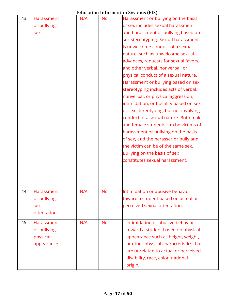| 43 | Harassment        | N/A | <b>No</b> | Harassment or bullying on the basis     |
|----|-------------------|-----|-----------|-----------------------------------------|
|    | or bullying-      |     |           | of sex includes sexual harassment       |
|    | sex               |     |           | and harassment or bullying based on     |
|    |                   |     |           | sex stereotyping. Sexual harassment     |
|    |                   |     |           | is unwelcome conduct of a sexual        |
|    |                   |     |           | nature, such as unwelcome sexual        |
|    |                   |     |           | advances, requests for sexual favors,   |
|    |                   |     |           | and other verbal, nonverbal, or         |
|    |                   |     |           | physical conduct of a sexual nature.    |
|    |                   |     |           | Harassment or bullying based on sex     |
|    |                   |     |           | stereotyping includes acts of verbal,   |
|    |                   |     |           | nonverbal, or physical aggression,      |
|    |                   |     |           | intimidation, or hostility based on sex |
|    |                   |     |           | or sex stereotyping, but not involving  |
|    |                   |     |           | conduct of a sexual nature. Both male   |
|    |                   |     |           | and female students can be victims of   |
|    |                   |     |           | harassment or bullying on the basis     |
|    |                   |     |           | of sex, and the harasser or bully and   |
|    |                   |     |           | the victim can be of the same sex.      |
|    |                   |     |           | Bullying on the basis of sex            |
|    |                   |     |           | constitutes sexual harassment.          |
|    |                   |     |           |                                         |
|    |                   |     |           |                                         |
|    |                   |     |           |                                         |
| 44 | Harassment        | N/A | <b>No</b> | Intimidation or abusive behavior        |
|    | or bullying-      |     |           | toward a student based on actual or     |
|    | sex               |     |           | perceived sexual orientation.           |
|    | orientation       |     |           |                                         |
|    |                   |     |           |                                         |
| 45 | <b>Harassment</b> | N/A | <b>No</b> | Intimidation or abusive behavior        |
|    | or bullying -     |     |           | toward a student based on physical      |
|    | physical          |     |           | appearance such as height, weight,      |
|    | appearance        |     |           | or other physical characteristics that  |
|    |                   |     |           | are unrelated to actual or perceived    |
|    |                   |     |           | disability, race, color, national       |
|    |                   |     |           | origin,                                 |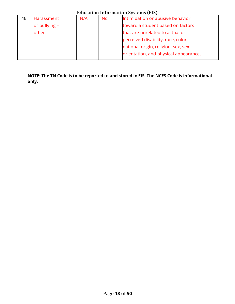|    | Education Information Systems (EIS) |     |     |                                       |
|----|-------------------------------------|-----|-----|---------------------------------------|
| 46 | Harassment                          | N/A | No. | Intimidation or abusive behavior      |
|    | or bullying -                       |     |     | toward a student based on factors     |
|    | other                               |     |     | that are unrelated to actual or       |
|    |                                     |     |     | perceived disability, race, color,    |
|    |                                     |     |     | national origin, religion, sex, sex   |
|    |                                     |     |     | orientation, and physical appearance. |
|    |                                     |     |     |                                       |

**NOTE: The TN Code is to be reported to and stored in EIS. The NCES Code is informational only.**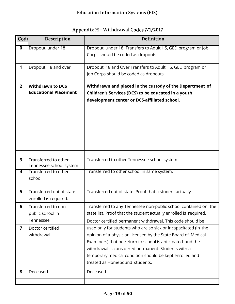|  |  | Appendix H - Withdrawal Codes 7/1/2017 |
|--|--|----------------------------------------|
|--|--|----------------------------------------|

<span id="page-18-0"></span>

| Code                    | Description                                          | Definition                                                                                                                                                                                                                                                                                                                                         |
|-------------------------|------------------------------------------------------|----------------------------------------------------------------------------------------------------------------------------------------------------------------------------------------------------------------------------------------------------------------------------------------------------------------------------------------------------|
| $\overline{\mathbf{0}}$ | Dropout, under 18                                    | Dropout, under 18. Transfers to Adult HS, GED program or Job<br>Corps should be coded as dropouts.                                                                                                                                                                                                                                                 |
| $\mathbf 1$             | Dropout, 18 and over                                 | Dropout, 18 and Over Transfers to Adult HS, GED program or<br>Job Corps should be coded as dropouts                                                                                                                                                                                                                                                |
| 2 <sup>2</sup>          | Withdrawn to DCS<br><b>Educational Placement</b>     | Withdrawn and placed in the custody of the Department of<br>Children's Services (DCS) to be educated in a youth<br>development center or DCS-affiliated school.                                                                                                                                                                                    |
| 3                       | Transferred to other<br>Tennessee school system      | Transferred to other Tennessee school system.                                                                                                                                                                                                                                                                                                      |
| $\overline{4}$          | <b>Transferred to other</b><br>school                | Transferred to other school in same system.                                                                                                                                                                                                                                                                                                        |
| 5                       | Transferred out of state<br>enrolled is required.    | Transferred out of state. Proof that a student actually                                                                                                                                                                                                                                                                                            |
| 6                       | Transferred to non-<br>public school in<br>Tennessee | Transferred to any Tennessee non-public school contained on the<br>state list. Proof that the student actually enrolled is required.<br>Doctor certified permanent withdrawal. This code should be                                                                                                                                                 |
| $\overline{7}$          | Doctor certified<br>withdrawal                       | used only for students who are so sick or incapacitated (in the<br>opinion of a physician licensed by the State Board of Medical<br>Examiners) that no return to school is anticipated and the<br>withdrawal is considered permanent. Students with a<br>temporary medical condition should be kept enrolled and<br>treated as Homebound students. |
| 8                       | Deceased                                             | Deceased                                                                                                                                                                                                                                                                                                                                           |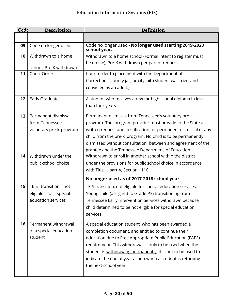| Code | Description              | Definition                                                              |
|------|--------------------------|-------------------------------------------------------------------------|
|      |                          |                                                                         |
| 09   | Code no longer used      | Code no longer used - No longer used starting 2019-2020<br>school year. |
| 10   | Withdrawn to a home      | Withdrawn to a home school (Formal intent to register must              |
|      | school; Pre-K withdrawn  | be on file); Pre-K withdrawn per parent request.                        |
| 11   | Court Order              | Court order to placement with the Department of                         |
|      |                          | Corrections, county jail, or city jail. (Student was tried and          |
|      |                          | convicted as an adult.)                                                 |
| 12   | Early Graduate           | A student who receives a regular high school diploma in less            |
|      |                          | than four years                                                         |
| 13   | Permanent dismissal      | Permanent dismissal from Tennessee's voluntary pre-k                    |
|      | from Tennessee's         | program. The program provider must provide to the State a               |
|      | voluntary pre-k program. | written request and justification for permanent dismissal of any        |
|      |                          | child from the pre-k program. No child is to be permanently             |
|      |                          | dismissed without consultation between and agreement of the             |
|      |                          | grantee and the Tennessee Department of Education.                      |
| 14   | Withdrawn under the      | Withdrawn to enroll in another school within the district               |
|      | public-school choice     | under the provisions for public school choice in accordance             |
|      |                          | with Title 1, part A, Section 1116.                                     |
|      |                          | No longer used as of 2017-2018 school year.                             |
| 15   | TEIS transition, not     | TEIS transition, not eligible for special education services.           |
|      | eligible for special     | Young child (assigned to Grade P3) transitioning from                   |
|      | education services       | Tennessee Early Intervention Services withdrawn because                 |
|      |                          | child determined to be not eligible for special education               |
|      |                          | services.                                                               |
| 16   | Permanent withdrawal     | A special education student, who has been awarded a                     |
|      | of a special education   | completion document, and entitled to continue their                     |
|      | student                  | education due to Free Appropriate Public Education (FAPE)               |
|      |                          | requirement. This withdrawal is only to be used when the                |
|      |                          | student is withdrawing permanently; it is not to be used to             |
|      |                          | indicate the end of year action when a student is returning             |
|      |                          | the next school year.                                                   |
|      |                          |                                                                         |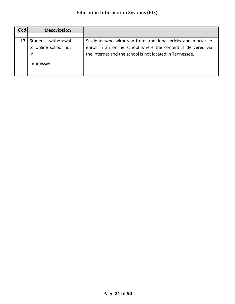| Code | Description           |                                                               |
|------|-----------------------|---------------------------------------------------------------|
|      |                       |                                                               |
|      | withdrawal<br>Student | Students who withdraw from traditional bricks and mortar to   |
|      | to online school not  | enroll in an online school where the content is delivered via |
|      | in                    | the Internet and the school is not located in Tennessee.      |
|      | Tennessee             |                                                               |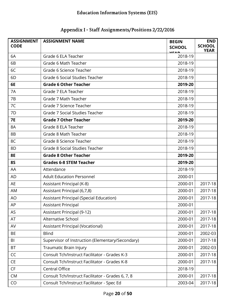<span id="page-21-0"></span>

| <b>ASSIGNMENT</b><br><b>CODE</b> | <b>ASSIGNMENT NAME</b>                            | <b>BEGIN</b><br><b>SCHOOL</b><br><b>VEAD</b> | <b>END</b><br><b>SCHOOL</b><br><b>YEAR</b> |
|----------------------------------|---------------------------------------------------|----------------------------------------------|--------------------------------------------|
| 6A                               | Grade 6 ELA Teacher                               | 2018-19                                      |                                            |
| 6B                               | Grade 6 Math Teacher                              | 2018-19                                      |                                            |
| 6C                               | Grade 6 Science Teacher                           | 2018-19                                      |                                            |
| 6D                               | Grade 6 Social Studies Teacher                    | 2018-19                                      |                                            |
| 6E                               | <b>Grade 6 Other Teacher</b>                      | 2019-20                                      |                                            |
| 7A                               | Grade 7 ELA Teacher                               | 2018-19                                      |                                            |
| 7B                               | Grade 7 Math Teacher                              | 2018-19                                      |                                            |
| 7C                               | Grade 7 Science Teacher                           | 2018-19                                      |                                            |
| 7D                               | Grade 7 Social Studies Teacher                    | 2018-19                                      |                                            |
| <b>7E</b>                        | <b>Grade 7 Other Teacher</b>                      | 2019-20                                      |                                            |
| 8A                               | Grade 8 ELA Teacher                               | 2018-19                                      |                                            |
| 8B                               | Grade 8 Math Teacher                              | 2018-19                                      |                                            |
| 8C                               | Grade 8 Science Teacher                           | 2018-19                                      |                                            |
| 8D                               | Grade 8 Social Studies Teacher                    | 2018-19                                      |                                            |
| <b>8E</b>                        | <b>Grade 8 Other Teacher</b>                      | 2019-20                                      |                                            |
| <b>8S</b>                        | <b>Grades 6-8 STEM Teacher</b>                    | 2019-20                                      |                                            |
| AA                               | Attendance                                        | 2018-19                                      |                                            |
| AD                               | <b>Adult Education Personnel</b>                  | 2000-01                                      |                                            |
| AE                               | Assistant Principal (K-8)                         | 2000-01                                      | 2017-18                                    |
| AM                               | Assistant Principal (6,7,8)                       | 2000-01                                      | 2017-18                                    |
| <b>AO</b>                        | <b>Assistant Principal (Special Education)</b>    | 2000-01                                      | 2017-18                                    |
| AP                               | <b>Assistant Principal</b>                        | 2000-01                                      |                                            |
| AS                               | <b>Assistant Principal (9-12)</b>                 | 2000-01                                      | 2017-18                                    |
| AT                               | Alternative School                                | 2000-01                                      | 2017-18                                    |
| AV                               | Assistant Principal (Vocational)                  | 2000-01                                      | 2017-18                                    |
| <b>BE</b>                        | <b>Blind</b>                                      | 2000-01                                      | 2002-03                                    |
| B <sub>l</sub>                   | Supervisor of Instruction (Elementary/Secondary)  | 2000-01                                      | 2017-18                                    |
| <b>BT</b>                        | Traumatic Brain Injury                            | 2000-01                                      | 2002-03                                    |
| CC                               | Consult Tch/Instruct Facilitator - Grades K-3     | 2000-01                                      | 2017-18                                    |
| CE                               | Consult Tch/Instruct Facilitator - Grades K-8     | 2000-01                                      | 2017-18                                    |
| CF                               | Central Office                                    | 2018-19                                      |                                            |
| <b>CM</b>                        | Consult Tch/Instruct Facilitator - Grades 6, 7, 8 | 2000-01                                      | 2017-18                                    |
| CO                               | Consult Tch/Instruct Facilitator - Spec Ed        | 2003-04                                      | 2017-18                                    |

#### Appendix I - Staff Assignments/Positions 2/22/2016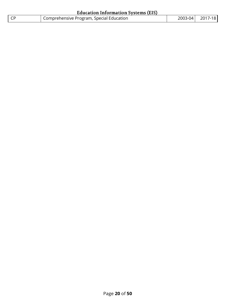|           | Education Information Systems (EIS)                   |                 |
|-----------|-------------------------------------------------------|-----------------|
| <b>CP</b> | <sup>1</sup> Comprehensive Program, Special Education | 2003-04 2017-18 |

 $\ddot{\phantom{a}}$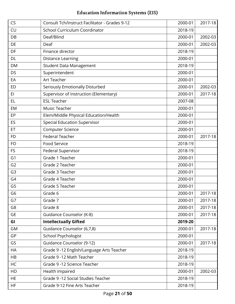| <b>CS</b>      | Consult Tch/Instruct Facilitator - Grades 9-12 | 2000-01 | 2017-18 |
|----------------|------------------------------------------------|---------|---------|
| CU             | School Curriculum Coordinator                  | 2018-19 |         |
| DB             | Deaf/Blind                                     | 2000-01 | 2002-03 |
| DE             | Deaf                                           | 2000-01 | 2002-03 |
| DF             | Finance director                               | 2018-19 |         |
| <b>DL</b>      | <b>Distance Learning</b>                       | 2000-01 |         |
| <b>DM</b>      | <b>Student Data Management</b>                 | 2018-19 |         |
| <b>DS</b>      | Superintendent                                 | 2000-01 |         |
| EA             | Art Teacher                                    | 2000-01 |         |
| <b>ED</b>      | Seriously Emotionally Disturbed                | 2000-01 | 2002-03 |
| E1             | Supervisor of Instruction (Elementary)         | 2000-01 | 2017-18 |
| EL             | <b>ESL Teacher</b>                             | 2007-08 |         |
| EM             | Music Teacher                                  | 2000-01 |         |
| EP             | Elem/Middle Physical Education/Health          | 2000-01 |         |
| ES             | <b>Special Education Supervisor</b>            | 2000-01 |         |
| ET             | Computer Science                               | 2000-01 |         |
| <b>FD</b>      | <b>Federal Teacher</b>                         | 2000-01 | 2017-18 |
| <b>FO</b>      | Food Service                                   | 2018-19 |         |
| <b>FS</b>      | Federal Supervisor                             | 2018-19 |         |
| G <sub>1</sub> | Grade 1 Teacher                                | 2000-01 |         |
| G <sub>2</sub> | Grade 2 Teacher                                | 2000-01 |         |
| G <sub>3</sub> | Grade 3 Teacher                                | 2000-01 |         |
| G4             | Grade 4 Teacher                                | 2000-01 |         |
| G <sub>5</sub> | Grade 5 Teacher                                | 2000-01 |         |
| G6             | Grade 6                                        | 2000-01 | 2017-18 |
| G7             | Grade 7                                        | 2000-01 | 2017-18 |
| G8             | Grade 8                                        | 2000-01 | 2017-18 |
| <b>GE</b>      | Guidance Counselor (K-8)                       | 2000-01 | 2017-18 |
| GI             | <b>Intellectually Gifted</b>                   | 2019-20 |         |
| GM             | Guidance Counselor (6,7,8)                     | 2000-01 | 2017-18 |
| GP             | School Psychologist                            | 2000-01 |         |
| GS             | Guidance Counselor (9-12)                      | 2000-01 | 2017-18 |
| HA             | Grade 9 -12 English/Language Arts Teacher      | 2018-19 |         |
| HB             | Grade 9 -12 Math Teacher                       | 2018-19 |         |
| HC             | Grade 9 -12 Science Teacher                    | 2018-19 |         |
| HD             | Health Impaired                                | 2000-01 | 2002-03 |
| <b>HE</b>      | Grade 9 -12 Social Studies Teacher             | 2018-19 |         |
| HF             | Grade 9-12 Fine Arts Teacher                   | 2018-19 |         |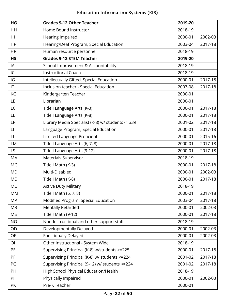| HG                     | <b>Grades 9-12 Other Teacher</b>                  | 2019-20 |         |
|------------------------|---------------------------------------------------|---------|---------|
| HH                     | Home Bound Instructor                             | 2018-19 |         |
| HI                     | Hearing Impaired                                  | 2000-01 | 2002-03 |
| <b>HP</b>              | Hearing/Deaf Program, Special Education           | 2003-04 | 2017-18 |
| <b>HR</b>              | Human resource personnel                          | 2018-19 |         |
| <b>HS</b>              | <b>Grades 9-12 STEM Teacher</b>                   | 2019-20 |         |
| IA                     | School Improvement & Accountability               | 2018-19 |         |
| IC                     | <b>Instructional Coach</b>                        | 2018-19 |         |
| IG                     | Intellectually Gifted, Special Education          | 2000-01 | 2017-18 |
| $\mathsf{I}\mathsf{T}$ | Inclusion teacher - Special Education             | 2007-08 | 2017-18 |
| KG                     | Kindergarten Teacher                              | 2000-01 |         |
| LB                     | Librarian                                         | 2000-01 |         |
| LC                     | Title I Language Arts (K-3)                       | 2000-01 | 2017-18 |
| LE                     | Title I Language Arts (K-8)                       | 2000-01 | 2017-18 |
| LF                     | Library Media Specialist (K-8) w/ students <= 339 | 2001-02 | 2017-18 |
| $\mathsf{L}\mathsf{I}$ | Language Program, Special Education               | 2000-01 | 2017-18 |
| LL                     | Limited Language Proficient                       | 2000-01 | 2015-16 |
| <b>LM</b>              | Title I Language Arts (6, 7, 8)                   | 2000-01 | 2017-18 |
| LS                     | Title I Language Arts (9-12)                      | 2000-01 | 2017-18 |
| <b>MA</b>              | Materials Supervisor                              | 2018-19 |         |
| <b>MC</b>              | Title I Math (K-3)                                | 2000-01 | 2017-18 |
| <b>MD</b>              | Multi-Disabled                                    | 2000-01 | 2002-03 |
| ME                     | Title I Math (K-8)                                | 2000-01 | 2017-18 |
| ML                     | <b>Active Duty Military</b>                       | 2018-19 |         |
| <b>MM</b>              | Title I Math (6, 7, 8)                            | 2000-01 | 2017-18 |
| <b>MP</b>              | Modified Program, Special Education               | 2003-04 | 2017-18 |
| <b>MR</b>              | <b>Mentally Retarded</b>                          | 2000-01 | 2002-03 |
| <b>MS</b>              | Title I Math (9-12)                               | 2000-01 | 2017-18 |
| <b>NO</b>              | Non-Instructional and other support staff         | 2018-19 |         |
| OD                     | Developmentally Delayed                           | 2000-01 | 2002-03 |
| OF                     | <b>Functionally Delayed</b>                       | 2000-01 | 2002-03 |
| O <sub>1</sub>         | Other Instructional - System Wide                 | 2018-19 |         |
| PE                     | Supervising Principal (K-8) w/students >=225      | 2000-01 | 2017-18 |
| <b>PF</b>              | Supervising Principal (K-8) w/ students <= 224    | 2001-02 | 2017-18 |
| PG                     | Supervising Principal (9-12) w/ students <= 224   | 2001-02 | 2017-18 |
| PH                     | High School Physical Education/Health             | 2018-19 |         |
| PI                     | Physically Impaired                               | 2000-01 | 2002-03 |
| PK                     | Pre-K Teacher                                     | 2000-01 |         |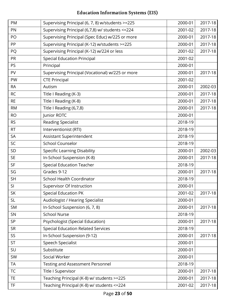| PM        | Supervising Principal (6, 7, 8) w/students >=225 | 2000-01 | 2017-18 |
|-----------|--------------------------------------------------|---------|---------|
| PN        | Supervising Principal (6,7,8) w/ students <= 224 | 2001-02 | 2017-18 |
| PO        | Supervising Principal (Spec Educ) w/225 or more  | 2000-01 | 2017-18 |
| PP        | Supervising Principal (K-12) w/students >=225    | 2000-01 | 2017-18 |
| PQ        | Supervising Principal (K-12) w/224 or less       | 2001-02 | 2017-18 |
| <b>PR</b> | <b>Special Education Principal</b>               | 2001-02 |         |
| <b>PS</b> | Principal                                        | 2000-01 |         |
| PV        | Supervising Principal (Vocational) w/225 or more | 2000-01 | 2017-18 |
| PW        | <b>CTE Principal</b>                             | 2001-02 |         |
| <b>RA</b> | Autism                                           | 2000-01 | 2002-03 |
| <b>RC</b> | Title I Reading (K-3)                            | 2000-01 | 2017-18 |
| <b>RE</b> | Title I Reading (K-8)                            | 2000-01 | 2017-18 |
| <b>RM</b> | Title I Reading (6,7,8)                          | 2000-01 | 2017-18 |
| <b>RO</b> | Junior ROTC                                      | 2000-01 |         |
| <b>RS</b> | <b>Reading Specialist</b>                        | 2018-19 |         |
| <b>RT</b> | Interventionist (RTI)                            | 2018-19 |         |
| <b>SA</b> | Assistant Superintendent                         | 2018-19 |         |
| SC        | School Counselor                                 | 2018-19 |         |
| SD        | <b>Specific Learning Disability</b>              | 2000-01 | 2002-03 |
| <b>SE</b> | In-School Suspension (K-8)                       | 2000-01 | 2017-18 |
| <b>SF</b> | <b>Special Education Teacher</b>                 | 2018-19 |         |
| SG        | Grades 9-12                                      | 2000-01 | 2017-18 |
| <b>SH</b> | <b>School Health Coordinator</b>                 | 2018-19 |         |
| SI        | Supervisor Of Instruction                        | 2000-01 |         |
| SK        | <b>Special Education PK</b>                      | 2001-02 | 2017-18 |
| <b>SL</b> | Audiologist / Hearing Specialist                 | 2000-01 |         |
| <b>SM</b> | In-School Suspension (6, 7, 8)                   | 2000-01 | 2017-18 |
| SN        | <b>School Nurse</b>                              | 2018-19 |         |
| <b>SP</b> | <b>Psychologist (Special Education)</b>          | 2000-01 | 2017-18 |
| <b>SR</b> | <b>Special Education Related Services</b>        | 2018-19 |         |
| SS        | In-School Suspension (9-12)                      | 2000-01 | 2017-18 |
| <b>ST</b> | Speech Specialist                                | 2000-01 |         |
| SU        | Substitute                                       | 2000-01 |         |
| SW        | Social Worker                                    | 2000-01 |         |
| <b>TA</b> | <b>Testing and Assessment Personnel</b>          | 2018-19 |         |
| <b>TC</b> | Title I Supervisor                               | 2000-01 | 2017-18 |
| <b>TE</b> | Teaching Principal (K-8) w/ students >=225       | 2000-01 | 2017-18 |
| <b>TF</b> | Teaching Principal (K-8) w/ students <= 224      | 2001-02 | 2017-18 |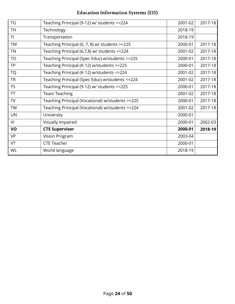| <b>TG</b> | Teaching Principal (9-12) w/ students <= 224      | 2001-02 | 2017-18 |
|-----------|---------------------------------------------------|---------|---------|
| TH.       | Technology                                        | 2018-19 |         |
| TI        | Transportation                                    | 2018-19 |         |
| <b>TM</b> | Teaching Principal (6, 7, 8) w/ students >=225    | 2000-01 | 2017-18 |
| <b>TN</b> | Teaching Principal (6,7,8) w/ students <= 224     | 2001-02 | 2017-18 |
| <b>TO</b> | Teaching Principal (Spec Educ) w/students >=225   | 2000-01 | 2017-18 |
| <b>TP</b> | Teaching Principal (K-12) w/students >=225        | 2000-01 | 2017-18 |
| <b>TQ</b> | Teaching Principal (K-12) w/students <= 224       | 2001-02 | 2017-18 |
| <b>TR</b> | Teaching Principal (Spec Educ) w/students <= 224  | 2001-02 | 2017-18 |
| <b>TS</b> | Teaching Principal (9-12) w/ students >=225       | 2000-01 | 2017-18 |
| TT        | <b>Team Teaching</b>                              | 2001-02 | 2017-18 |
| TV        | Teaching Principal (Vocational) w/students >=225  | 2000-01 | 2017-18 |
| <b>TW</b> | Teaching Principal (Vocational) w/students <= 224 | 2001-02 | 2017-18 |
| <b>UN</b> | University                                        | 2000-01 |         |
| VI        | Visually Impaired                                 | 2000-01 | 2002-03 |
| VO        | <b>CTE Supervisor</b>                             | 2000-01 | 2018-19 |
| <b>VP</b> | Vision Program                                    | 2003-04 |         |
| VT        | <b>CTE Teacher</b>                                | 2000-01 |         |
| WL        | World language                                    | 2018-19 |         |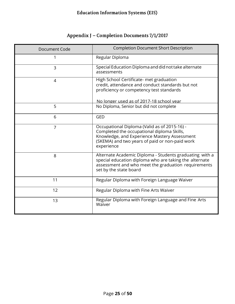#### Appendix J - Completion Documents 7/1/2017

<span id="page-27-0"></span>

| Document Code  | <b>Completion Document Short Description</b>                                                                                                                                                               |
|----------------|------------------------------------------------------------------------------------------------------------------------------------------------------------------------------------------------------------|
|                | Regular Diploma                                                                                                                                                                                            |
| 3              | Special Education Diploma and did not take alternate<br>assessments                                                                                                                                        |
| $\overline{4}$ | High School Certificate- met graduation<br>credit, attendance and conduct standards but not<br>proficiency or competency test standards                                                                    |
| 5              | No longer used as of 2017-18 school year<br>No Diploma, Senior but did not complete                                                                                                                        |
|                |                                                                                                                                                                                                            |
| 6              | <b>GED</b>                                                                                                                                                                                                 |
| $\overline{7}$ | Occupational Diploma (Valid as of 2015-16) -<br>Completed the occupational diploma Skills,<br>Knowledge, and Experience Mastery Assessment<br>(SKEMA) and two years of paid or non-paid work<br>experience |
| 8              | Alternate Academic Diploma - Students graduating with a<br>special education diploma who are taking the alternate<br>assessment and who meet the graduation requirements<br>set by the state board         |
| 11             | Regular Diploma with Foreign Language Waiver                                                                                                                                                               |
| 12             | Regular Diploma with Fine Arts Waiver                                                                                                                                                                      |
| 13             | Regular Diploma with Foreign Language and Fine Arts<br>Waiver                                                                                                                                              |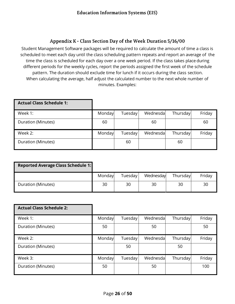#### Appendix K - Class Section Day of the Week Duration 5/16/00

<span id="page-28-0"></span>Student Management Software packages will be required to calculate the amount of time a class is scheduled to meet each day until the class scheduling pattern repeats and report an average of the time the class is scheduled for each day over a one week period. If the class takes place during different periods for the weekly cycles, report the periods assigned the first week of the schedule pattern. The duration should exclude time for lunch if it occurs during the class section. When calculating the average, half adjust the calculated number to the next whole number of minutes. Examples:

| <b>Actual Class Schedule 1:</b> |        |         |          |          |        |
|---------------------------------|--------|---------|----------|----------|--------|
| Week 1:                         | Monday | Tuesday | Wednesda | Thursday | Friday |
| Duration (Minutes)              | 60     |         | 60       |          | 60     |
| Week 2:                         | Monday | Tuesday | Wednesda | Thursday | Friday |
| Duration (Minutes)              |        | 60      |          | 60       |        |

| <b>Reported Average Class Schedule 1:</b> |        |         |           |          |        |
|-------------------------------------------|--------|---------|-----------|----------|--------|
|                                           | Monday | Tuesday | Wednesday | Thursday | Friday |
| Duration (Minutes)                        | 30     | 30      | 30        | 30       | 30     |

| <b>Actual Class Schedule 2:</b> |        |         |           |          |        |
|---------------------------------|--------|---------|-----------|----------|--------|
| Week 1:                         | Monday | Tuesday | Wednesdal | Thursday | Friday |
| Duration (Minutes)              | 50     |         | 50        |          | 50     |
| Week 2:                         | Monday | Tuesday | Wednesdal | Thursday | Friday |
| Duration (Minutes)              |        | 50      |           | 50       |        |
| Week 3:                         | Monday | Tuesday | Wednesda  | Thursday | Friday |
| Duration (Minutes)              | 50     |         | 50        |          | 100    |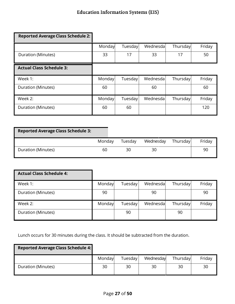| <b>Reported Average Class Schedule 2:</b> |        |         |          |          |        |
|-------------------------------------------|--------|---------|----------|----------|--------|
|                                           | Monday | Tuesday | Wednesda | Thursday | Friday |
| Duration (Minutes)                        | 33     | 17      | 33       | 17       | 50     |
| <b>Actual Class Schedule 3:</b>           |        |         |          |          |        |
| Week 1:                                   | Monday | Tuesday | Wednesda | Thursday | Friday |
| Duration (Minutes)                        | 60     |         | 60       |          | 60     |
| Week 2:                                   | Monday | Tuesday | Wednesda | Thursday | Friday |
| Duration (Minutes)                        | 60     | 60      |          |          | 120    |

| <b>Reported Average Class Schedule 3:</b> |        |         |           |          |        |
|-------------------------------------------|--------|---------|-----------|----------|--------|
|                                           | Monday | Tuesday | Wednesday | Thursday | Friday |
| Duration (Minutes)                        | 60     | 30      | 30        |          | 90     |

| <b>Actual Class Schedule 4:</b> |        |         |          |          |        |
|---------------------------------|--------|---------|----------|----------|--------|
| Week 1:                         | Monday | Tuesday | Wednesda | Thursday | Friday |
| Duration (Minutes)              | 90     |         | 90       |          | 90     |
| Week 2:                         | Monday | Tuesday | Wednesda | Thursday | Friday |
| Duration (Minutes)              |        | 90      |          | 90       |        |

Lunch occurs for 30 minutes during the class. It should be subtracted from the duration.

Ŧ

| <b>Reported Average Class Schedule 4:</b> |        |         |           |          |        |
|-------------------------------------------|--------|---------|-----------|----------|--------|
|                                           | Monday | Tuesday | Wednesday | Thursday | Friday |
| Duration (Minutes)                        | 30     | 30      | 30        | 30       | 30     |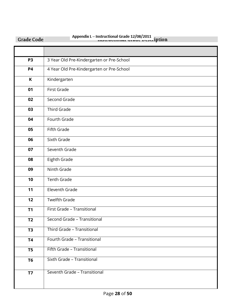<span id="page-30-0"></span>

| <b>Grade Code</b> | Appendix L - Instructional Grade 12/08/2011 |
|-------------------|---------------------------------------------|
|                   |                                             |
| P <sub>3</sub>    | 3 Year Old Pre-Kindergarten or Pre-School   |
| <b>P4</b>         | 4 Year Old Pre-Kindergarten or Pre-School   |
| K                 | Kindergarten                                |
| 01                | <b>First Grade</b>                          |
| 02                | Second Grade                                |
| 03                | <b>Third Grade</b>                          |
| 04                | Fourth Grade                                |
| 05                | Fifth Grade                                 |
| 06                | Sixth Grade                                 |
| 07                | Seventh Grade                               |
| 08                | Eighth Grade                                |
| 09                | Ninth Grade                                 |
| 10                | <b>Tenth Grade</b>                          |
| 11                | Eleventh Grade                              |
| 12                | <b>Twelfth Grade</b>                        |
| T1                | First Grade - Transitional                  |
| <b>T2</b>         | Second Grade - Transitional                 |
| T <sub>3</sub>    | Third Grade - Transitional                  |
| <b>T4</b>         | Fourth Grade - Transitional                 |
| T <sub>5</sub>    | Fifth Grade - Transitional                  |
| T <sub>6</sub>    | Sixth Grade - Transitional                  |
| <b>T7</b>         | Seventh Grade - Transitional                |

# Appendix  $L$  – Instructional Grade 12/08/2011 intion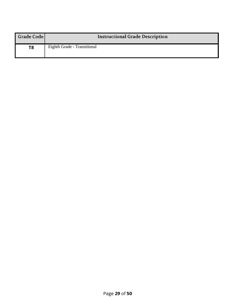| Grade Code | <b>Instructional Grade Description</b> |
|------------|----------------------------------------|
| T8         | Eighth Grade - Transitional            |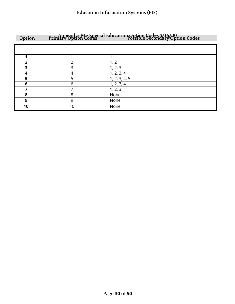<span id="page-32-0"></span>

| Option         |    | Appendix M-Special Education Option Codes 5/16/00<br>Primary Option Codes |
|----------------|----|---------------------------------------------------------------------------|
|                |    |                                                                           |
|                |    |                                                                           |
| $\overline{2}$ | າ  | 1, 2                                                                      |
| 3              | 3  | 1, 2, 3                                                                   |
| 4              |    | 1, 2, 3, 4                                                                |
| 5              | 5  | 1, 2, 3, 4, 5                                                             |
| 6              | 6  | 1, 2, 3, 4                                                                |
| 7              |    | 1, 2, 3                                                                   |
| 8              | 8  | None                                                                      |
| 9              | 9  | None                                                                      |
| 10             | 10 | None                                                                      |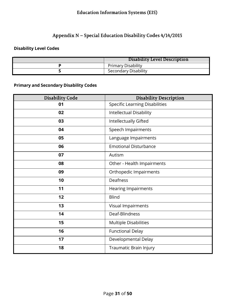#### Appendix N - Special Education Disability Codes 4/14/2015

#### <span id="page-33-0"></span>**Disability Level Codes**

| Disability Level Description |
|------------------------------|
| <b>Primary Disability</b>    |
| Secondary Disability         |

#### **Primary and Secondary Disability Codes**

| <b>Disability Code</b> | <b>Disability Description</b>         |
|------------------------|---------------------------------------|
| 01                     | <b>Specific Learning Disabilities</b> |
| 02                     | Intellectual Disability               |
| 03                     | Intellectually Gifted                 |
| 04                     | Speech Impairments                    |
| 05                     | Language Impairments                  |
| 06                     | <b>Emotional Disturbance</b>          |
| 07                     | Autism                                |
| 08                     | Other - Health Impairments            |
| 09                     | Orthopedic Impairments                |
| 10                     | Deafness                              |
| 11                     | <b>Hearing Impairments</b>            |
| 12                     | <b>Blind</b>                          |
| 13                     | Visual Impairments                    |
| 14                     | Deaf-Blindness                        |
| 15                     | Multiple Disabilities                 |
| 16                     | <b>Functional Delay</b>               |
| 17                     | Developmental Delay                   |
| 18                     | Traumatic Brain Injury                |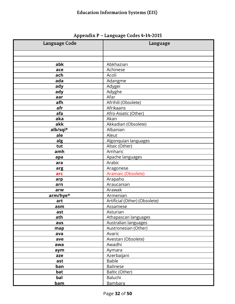<span id="page-34-0"></span>

| Language Code | Language                      |
|---------------|-------------------------------|
|               |                               |
|               |                               |
| abk           | Abkhazian                     |
| ace           | Achinese                      |
| ach           | Acoli                         |
| ada           | Adangme                       |
| ady           | Adygei                        |
| ady           | Adyghe                        |
| aar           | Afar                          |
| afh           | Afrihili (Obsolete)           |
| afr           | Afrikaans                     |
| afa           | Afro-Asiatic (Other)          |
| aka           | Akan                          |
| akk           | Akkadian (Obsolete)           |
| alb/sqi*      | Albanian                      |
| ale           | Aleut                         |
| alg           | Algonquian languages          |
| tut           | Altaic (Other)                |
| amh           | Amharic                       |
| apa           | Apache languages              |
| ara           | Arabic                        |
| arg           | Aragonese                     |
| arc           | Aramaic (Obsolete)            |
| arp           | Arapaho                       |
| arn           | Araucanian                    |
| arw           | Arawak                        |
| arm/hye*      | Armenian                      |
| art           | Artificial (Other) (Obsolete) |
| asm           | Assamese                      |
| ast           | Asturian                      |
| ath           | Athapascan languages          |
| aus           | Australian languages          |
| map           | Austronesian (Other)          |
| ava           | Avaric                        |
| ave           | Avestan (Obsolete)            |
| awa           | Awadhi                        |
| aym           | Aymara                        |
| aze           | Azerbaijani                   |
| ast           | <b>Bable</b>                  |
| ban           | <b>Balinese</b>               |
| bat<br>bal    | Baltic (Other)<br>Baluchi     |
|               | <b>Bambara</b>                |
| <u>bam</u>    |                               |

Appendix P - Language Codes 4-14-2015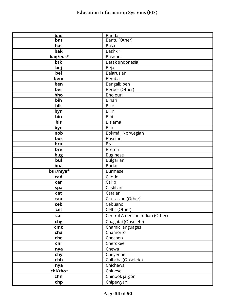| bad      | <b>Banda</b>                    |
|----------|---------------------------------|
| bnt      | Bantu (Other)                   |
| bas      | <b>Basa</b>                     |
| bak      | <b>Bashkir</b>                  |
| baq/eus* | <b>Basque</b>                   |
| btk      | Batak (Indonesia)               |
| bej      | Beja                            |
| bel      | Belarusian                      |
| bem      | Bemba                           |
| ben      | Bengali; ben                    |
| ber      | Berber (Other)                  |
| bho      | Bhojpuri                        |
| bih      | Bihari                          |
| bik      | <b>Bikol</b>                    |
| byn      | Bilin                           |
| bin      | <b>Bini</b>                     |
| bis      | <b>Bislama</b>                  |
| byn      | Blin                            |
| nob      | Bokmål, Norwegian               |
| bos      | Bosnian                         |
| bra      | <b>Braj</b>                     |
| bre      | <b>Breton</b>                   |
| bug      | <b>Buginese</b>                 |
| bul      | Bulgarian                       |
| bua      | <b>Buriat</b>                   |
| bur/mya* | <b>Burmese</b>                  |
| cad      | Caddo                           |
| car      | Carib                           |
| spa      | Castilian                       |
| cat      | Catalan                         |
| cau      | Caucasian (Other)               |
| ceb      | Cebuano                         |
| cel      | Celtic (Other)                  |
| cai      | Central American Indian (Other) |
| chg      | Chagatai (Obsolete)             |
| cmc      | Chamic languages                |
| cha      | Chamorro                        |
| che      | Chechen                         |
| chr      | Cherokee                        |
| nya      | Chewa                           |
| chy      | Cheyenne                        |
| chb      | Chibcha (Obsolete)              |
| nya      | Chichewa                        |
| chi/zho* | Chinese                         |
| chn      | Chinook jargon                  |
| chp      | Chipewyan                       |
|          |                                 |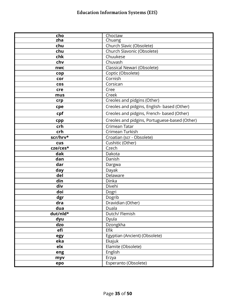| cho        | Choctaw                                       |
|------------|-----------------------------------------------|
| zha        | Chuang                                        |
| chu        | Church Slavic (Obsolete)                      |
| chu        | Church Slavonic (Obsolete)                    |
| chk        | Chuukese                                      |
| chv        | Chuvash                                       |
| nwc        | Classical Newari (Obsolete)                   |
| cop        | Coptic (Obsolete)                             |
| cor        | Cornish                                       |
| <b>COS</b> | Corsican                                      |
| cre        | Cree                                          |
| mus        | Creek                                         |
| crp        | Creoles and pidgins (Other)                   |
| cpe        | Creoles and pidgins, English- based (Other)   |
| cpf        | Creoles and pidgins, French- based (Other)    |
| cpp        | Creoles and pidgins, Portuguese-based (Other) |
| crh        | Crimean Tatar                                 |
| crh        | Crimean Turkish                               |
| scr/hrv*   | Croatian (scr - Obsolete)                     |
| cus        | Cushitic (Other)                              |
| cze/ces*   | Czech                                         |
| dak        | Dakota                                        |
| dan        | Danish                                        |
| dar        | Dargwa                                        |
| day        | Dayak                                         |
| del        | Delaware                                      |
| din        | Dinka                                         |
| div        | Divehi                                        |
| doi        | Dogri                                         |
| dgr        | Dogrib                                        |
| dra        | Dravidian (Other)                             |
| dua        | Duala                                         |
| dut/nld*   | Dutch/ Flemish                                |
| dyu        | Dyula                                         |
| dzo        | Dzongkha                                      |
| efi        | Efik                                          |
| egy        | Egyptian (Ancient) (Obsolete)                 |
| eka        | Ekajuk                                        |
| elx        | Elamite (Obsolete)                            |
| eng        | English                                       |
| myv        | Erzya                                         |
| epo        | Esperanto (Obsolete)                          |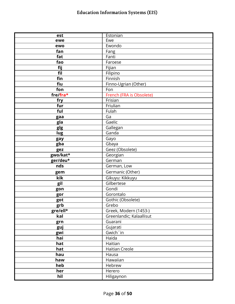| est      | Estonian                 |
|----------|--------------------------|
| ewe      | Ewe                      |
| ewo      | Ewondo                   |
| fan      | Fang                     |
| fat      | Fanti                    |
| fao      | Faroese                  |
| fij      | Fijian                   |
| fil      | Filipino                 |
| fin      | Finnish                  |
| fiu      | Finno-Ugrian (Other)     |
| fon      | Fon                      |
| fre/fra* | French (FRA is Obsolete) |
| fry      | Frisian                  |
| fur      | Friulian                 |
| ful      | Fulah                    |
| gaa      | Ga                       |
| gla      | Gaelic                   |
| glg      | Gallegan                 |
| lug      | Ganda                    |
| gay      | Gayo                     |
| gba      | Gbaya                    |
| gez      | Geez (Obsolete)          |
| gwo/kat* | Georgian                 |
| ger/deu* | German                   |
| nds      | German, Low              |
| gem      | Germanic (Other)         |
| kik      | Gikuyu: Kikkuyu          |
| gil      | Gilbertese               |
| gon      | Gondi                    |
| gor      | Gorontalo                |
| got      | Gothic (Obsolete)        |
| grb      | Grebo                    |
| gre/ell* | Greek, Modern (1453-)    |
| kal      | Greenlandic; Kalaallisut |
| grn      | Guarani                  |
| guj      | Gujarati                 |
| gwi      | Gwich 'in                |
| hai      | Haida                    |
| hat      | Haitian                  |
| hat      | <b>Haitian Creole</b>    |
| hau      | Hausa                    |
| haw      | Hawaiian                 |
| heb      | Hebrew                   |
| her      | Herero                   |
| hil      | Hiligaynon               |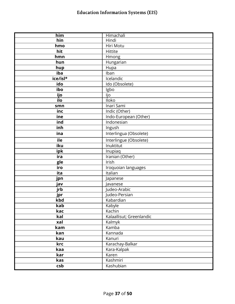| him      | Himachali                |
|----------|--------------------------|
| hin      | Hindi                    |
| hmo      | Hiri Motu                |
| hit      | Hittite                  |
| hmn      | Hmong                    |
| hun      | Hungarian                |
| hup      | Hupa                     |
| iba      | Iban                     |
| ice/isl* | Icelandic                |
| ido      | Ido (Obsolete)           |
| ibo      | Igbo                     |
| ijo      | ljo                      |
| ilo      | <b>Iloko</b>             |
| smn      | Inari Sami               |
| inc      | Indic (Other)            |
| ine      | Indo-European (Other)    |
| ind      | Indonesian               |
| inh      | Ingush                   |
| ina      | Interlingua (Obsolete)   |
| ile      | Interlingue (Obsolete)   |
| iku      | Inuktitut                |
| ipk      | Inupiaq                  |
| ira      | Iranian (Other)          |
| gle      | Irish                    |
| iro      | Iroquoian languages      |
| ita      | Italian                  |
| jpn      | Japanese                 |
| jav      | Javanese                 |
| jrb      | Judeo-Arabic             |
| jpr      | Judeo-Persian            |
| kbd      | Kabardian                |
| kab      | Kabyle                   |
| kac      | Kachin                   |
| kal      | Kalaallisut; Greenlandic |
| xal      | Kalmyk                   |
| kam      | Kamba                    |
| kan      | Kannada                  |
| kau      | Kanuri                   |
| krc      | Karachay-Balkar          |
| kaa      | Kara-Kalpak              |
| kar      | Karen                    |
| kas      | Kashmiri                 |
| csb      | Kashubian                |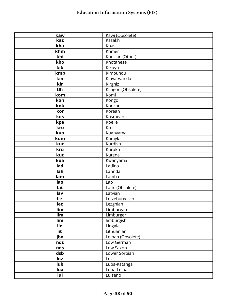| kaw | Kawi (Obsolete)    |
|-----|--------------------|
| kaz | Kazakh             |
| kha | Khasi              |
| khm | Khmer              |
| khi | Khoisan (Other)    |
| kho | Khotanese          |
| kik | Kikuyu             |
| kmb | Kimbundu           |
| kin | Kinyarwanda        |
| kir | Kirghiz            |
| tlh | Klingon (Obsolete) |
| kom | Komi               |
| kon | Kongo              |
| kok | Konkani            |
| kor | Korean             |
| kos | Kosraean           |
| kpe | Kpelle             |
| kro | Kru                |
| kua | Kuanyama           |
| kum | Kumyk              |
| kur | Kurdish            |
| kru | Kurukh             |
| kut | Kutenai            |
| kua | Kwanyama           |
| lad | Ladino             |
| lah | Lahnda             |
| lam | Lamba              |
| lao | Lao                |
| lat | Latin (Obsolete)   |
| lav | Latvian            |
| Itz | Letzeburgesch      |
| lez | Lezghian           |
| lim | Limburgan          |
| lim | Limburger          |
| lim | limburgish         |
| lin | Lingala            |
| lit | Lithuanian         |
| jbo | Lojban (Obsolete)  |
| nds | Low German         |
| nds | Low Saxon          |
| dsb | Lower Sorbian      |
| loz | Lozi               |
| lub | Luba-Katanga       |
|     |                    |
| lua | Luba-Lulua         |
| lui | Luiseno            |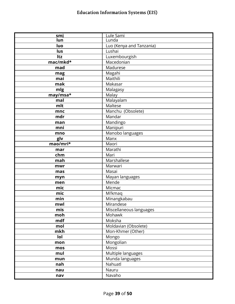| smi      | <u>Lule Sami</u>         |
|----------|--------------------------|
| lun      | Lunda                    |
| luo      | Luo (Kenya and Tanzania) |
| lus      | Lushai                   |
| Itz      | Luxembourgish            |
| mac/mkd* | Macedonian               |
| mad      | Madurese                 |
| mag      | Magahi                   |
| mai      | Maithili                 |
| mak      | Makasar                  |
| mlg      | Malagasy                 |
| may/msa* | Malay                    |
| mal      | Malayalam                |
| mlt      | Maltese                  |
| mnc      | Manchu (Obsolete)        |
| mdr      | Mandar                   |
| man      | Mandingo                 |
| mni      | Manipuri                 |
| mno      | Manobo languages         |
| glv      | Manx                     |
| mao/mri* | Maori                    |
| mar      | Marathi                  |
| chm      | Mari                     |
| mah      | Marshallese              |
| mwr      | Marwari                  |
| mas      | Masai                    |
| myn      | Mayan languages          |
| men      | Mende                    |
| mic      | Micmac                   |
| mic      | Mi'kmaq                  |
| min      | Minangkabau              |
| mwl      | Mirandese                |
| mis      | Miscellaneous languages  |
| moh      | Mohawk                   |
| mdf      | Moksha                   |
| mol      | Moldavian (Obsolete)     |
| mkh      | Mon-Khmer (Other)        |
| lol      | Mongo                    |
| mon      | Mongolian                |
| mos      | Mossi                    |
| mul      | Multiple languages       |
| mun      | Munda languages          |
| nah      | Nahuatl                  |
| nau      | Nauru                    |
| nav      | Navaho                   |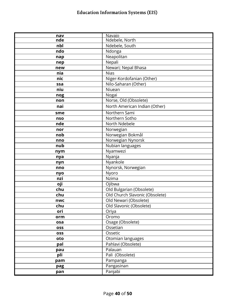| nav        | Navajo                         |
|------------|--------------------------------|
| nde        | Ndebele, North                 |
| nbl        | Ndebele, South                 |
| ndo        | Ndonga                         |
| nap        | Neapolitan                     |
| nep        | Nepali                         |
| new        | Newari; Nepal Bhasa            |
| nia        | <b>Nias</b>                    |
| nic        | Niger-Kordofanian (Other)      |
| ssa        | Nilo-Saharan (Other)           |
| niu        | Niuean                         |
| nog        | Nogai                          |
| non        | Norse, Old (Obsolete)          |
| nai        | North American Indian (Other)  |
| sme        | Northern Sami                  |
| nso        | Northern Sotho                 |
| nde        | North Ndebele                  |
| nor        | Norwegian                      |
| nob        | Norwegian Bokmål               |
| nno        | Norwegian Nynorsk              |
| nub        | Nubian languages               |
| nym        | Nyamwezi                       |
| nya        | Nyanja                         |
| nyn        | Nyankole                       |
| nno        | Nynorsk, Norwegian             |
| nyo        | Nyoro                          |
| nzi        | Nzima                          |
| oji        | Ojibwa                         |
| chu        | Old Bulgarian (Obsolete)       |
| chu        | Old Church Slavonic (Obsolete) |
| nwc        | Old Newari (Obsolete)          |
| chu        | Old Slavonic (Obsolete)        |
| ori        | Oriya                          |
| orm        | Oromo                          |
| osa        | Osage (Obsolete)               |
| <b>OSS</b> | Ossetian                       |
| <b>OSS</b> | Ossetic                        |
| oto        | Otomian languages              |
| pal        | Pahlavi (Obsolete)             |
| pau        | Palauan                        |
| pli        | Pali (Obsolete)                |
| pam        | Pampanga                       |
| pag        | Pangasinan                     |
| pan        | Panjabi                        |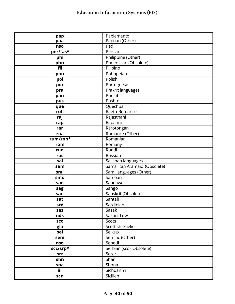| pap      | Papiamento                   |
|----------|------------------------------|
| paa      | Papuan (Other)               |
| nso      | Pedi                         |
| per/fas* | Persian                      |
| phi      | Philippine (Other)           |
| phn      | Phoenician (Obsolete)        |
| fil      | Pilipino                     |
| pon      | Pohnpeian                    |
| pol      | Polish                       |
| por      | Portuguese                   |
| pra      | Prakrit languages            |
| pan      | Punjabi                      |
| pus      | Pushto                       |
| que      | Quechua                      |
| roh      | Raeto-Romance                |
| raj      | Rajasthani                   |
| rap      | Rapanui                      |
| rar      | Rarotongan                   |
| roa      | Romance (Other)              |
| rum/ron* | Romanian                     |
| rom      | Romany                       |
| run      | Rundi                        |
| rus      | Russian                      |
| sal      | Salishan languages           |
| sam      | Samaritan Aramaic (Obsolete) |
| smi      | Sami languages (Other)       |
| smo      | Samoan                       |
| sad      | Sandawe                      |
| sag      | Sango                        |
| san      | Sanskrit (Obsolete)          |
| sat      | Santali                      |
| srd      | Sardinian                    |
| sas      | Sasak                        |
| nds      | Saxon, Low                   |
| sco      | Scots                        |
| gla      | <b>Scottish Gaelic</b>       |
| sel      | Selkup                       |
| sem      | Semitic (Other)              |
| nso      | Sepedi                       |
| scc/srp* | Serbian (scc - Obsolete)     |
| srr      | Serer                        |
| shn      | Shan                         |
| sna      | Shona                        |
| iii      | Sichuan Yi                   |
| scn      | Sicilian                     |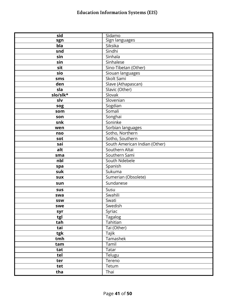| sid        | Sidamo                        |
|------------|-------------------------------|
| sgn        | Sign languages                |
| bla        | Siksika                       |
| snd        | Sindhi                        |
| sin        | Sinhala                       |
| sin        | Sinhalese                     |
| sit        | Sino-Tibetan (Other)          |
| sio        | Siouan languages              |
| sms        | Skolt Sami                    |
| den        | Slave (Athapascan)            |
| sla        | Slavic (Other)                |
| slo/slk*   | Slovak                        |
| slv        | Slovenian                     |
| sog        | Sogdian                       |
| som        | Somali                        |
| son        | Songhai                       |
| snk        | Soninke                       |
| wen        | Sorbian languages             |
| nso        | Sotho, Northern               |
| sot        | Sotho, Southern               |
| sai        | South American Indian (Other) |
| alt        | Southern Altai                |
| sma        | Southern Sami                 |
| nbl        | South Ndebele                 |
| spa        | Spanish                       |
| suk        | Sukuma                        |
| <b>SUX</b> | Sumerian (Obsolete)           |
| sun        | Sundanese                     |
| sus        | Susu                          |
| swa        | Swahili                       |
| <b>SSW</b> | Swati                         |
| swe        | Swedish                       |
| syr        | Syriac                        |
| tgl        | <b>Tagalog</b>                |
| tah        | Tahitian                      |
| tai        | Tai (Other)                   |
| tgk        | Tajik                         |
| tmh        | <b>Tamashek</b>               |
| tam        | Tamil                         |
| tat        | Tatar                         |
| tel        | Telugu                        |
| ter        | Tereno                        |
| tet        | Tetum                         |
| tha        | Thai                          |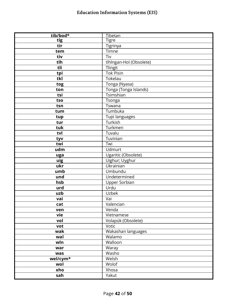| tig<br><b>Tigre</b><br>tir<br>Tigrinya<br>Timne<br>tem<br>tiv<br>Tiv<br>tlh<br>tlhlngan-Hol (Obsolete)<br>tli<br>Tlingit<br><b>Tok Pisin</b><br>tpi<br>Tokelau<br>tkl<br>Tonga (Nyasa)<br>tog<br>Tonga (Tonga Islands)<br>ton<br>Tsimshian<br>tsi<br>Tsonga<br>tso<br>Tswana<br>tsn<br>Tumbuka<br>tum<br>Tupi languages<br>tup<br>Turkish<br>tur<br>Turkmen<br>tuk<br>Tuvalu<br>tvl<br>Tuvinian<br>tyv<br>twi<br>Twi<br>udm<br><b>Udmurt</b><br>Ugaritic (Obsolete)<br>uga<br>Uighur; Uyghur<br>uig<br>Ukrainian<br>ukr<br>Umbundu<br>umb<br>Undetermined<br>und<br>Upper Sorbian<br>hsb<br>Urdu<br>urd<br>Uzbek<br>uzb<br>Vai<br>vai<br>Valencian<br>cat<br>Venda<br>ven<br>vie<br>Vietnamese<br>Volapük (Obsolete)<br>vol<br>Votic<br>vot<br>Wakashan languages<br>wak<br>Walamo<br>wal<br>Walloon<br>wln<br>Waray<br>war<br>Washo<br>was<br>wel/cym*<br>Welsh<br>Wolof<br>wol | tib/bod* | Tibetan |
|----------------------------------------------------------------------------------------------------------------------------------------------------------------------------------------------------------------------------------------------------------------------------------------------------------------------------------------------------------------------------------------------------------------------------------------------------------------------------------------------------------------------------------------------------------------------------------------------------------------------------------------------------------------------------------------------------------------------------------------------------------------------------------------------------------------------------------------------------------------------------------|----------|---------|
|                                                                                                                                                                                                                                                                                                                                                                                                                                                                                                                                                                                                                                                                                                                                                                                                                                                                                  |          |         |
|                                                                                                                                                                                                                                                                                                                                                                                                                                                                                                                                                                                                                                                                                                                                                                                                                                                                                  |          |         |
|                                                                                                                                                                                                                                                                                                                                                                                                                                                                                                                                                                                                                                                                                                                                                                                                                                                                                  |          |         |
|                                                                                                                                                                                                                                                                                                                                                                                                                                                                                                                                                                                                                                                                                                                                                                                                                                                                                  |          |         |
|                                                                                                                                                                                                                                                                                                                                                                                                                                                                                                                                                                                                                                                                                                                                                                                                                                                                                  |          |         |
|                                                                                                                                                                                                                                                                                                                                                                                                                                                                                                                                                                                                                                                                                                                                                                                                                                                                                  |          |         |
|                                                                                                                                                                                                                                                                                                                                                                                                                                                                                                                                                                                                                                                                                                                                                                                                                                                                                  |          |         |
|                                                                                                                                                                                                                                                                                                                                                                                                                                                                                                                                                                                                                                                                                                                                                                                                                                                                                  |          |         |
|                                                                                                                                                                                                                                                                                                                                                                                                                                                                                                                                                                                                                                                                                                                                                                                                                                                                                  |          |         |
|                                                                                                                                                                                                                                                                                                                                                                                                                                                                                                                                                                                                                                                                                                                                                                                                                                                                                  |          |         |
|                                                                                                                                                                                                                                                                                                                                                                                                                                                                                                                                                                                                                                                                                                                                                                                                                                                                                  |          |         |
|                                                                                                                                                                                                                                                                                                                                                                                                                                                                                                                                                                                                                                                                                                                                                                                                                                                                                  |          |         |
|                                                                                                                                                                                                                                                                                                                                                                                                                                                                                                                                                                                                                                                                                                                                                                                                                                                                                  |          |         |
|                                                                                                                                                                                                                                                                                                                                                                                                                                                                                                                                                                                                                                                                                                                                                                                                                                                                                  |          |         |
|                                                                                                                                                                                                                                                                                                                                                                                                                                                                                                                                                                                                                                                                                                                                                                                                                                                                                  |          |         |
|                                                                                                                                                                                                                                                                                                                                                                                                                                                                                                                                                                                                                                                                                                                                                                                                                                                                                  |          |         |
|                                                                                                                                                                                                                                                                                                                                                                                                                                                                                                                                                                                                                                                                                                                                                                                                                                                                                  |          |         |
|                                                                                                                                                                                                                                                                                                                                                                                                                                                                                                                                                                                                                                                                                                                                                                                                                                                                                  |          |         |
|                                                                                                                                                                                                                                                                                                                                                                                                                                                                                                                                                                                                                                                                                                                                                                                                                                                                                  |          |         |
|                                                                                                                                                                                                                                                                                                                                                                                                                                                                                                                                                                                                                                                                                                                                                                                                                                                                                  |          |         |
|                                                                                                                                                                                                                                                                                                                                                                                                                                                                                                                                                                                                                                                                                                                                                                                                                                                                                  |          |         |
|                                                                                                                                                                                                                                                                                                                                                                                                                                                                                                                                                                                                                                                                                                                                                                                                                                                                                  |          |         |
|                                                                                                                                                                                                                                                                                                                                                                                                                                                                                                                                                                                                                                                                                                                                                                                                                                                                                  |          |         |
|                                                                                                                                                                                                                                                                                                                                                                                                                                                                                                                                                                                                                                                                                                                                                                                                                                                                                  |          |         |
|                                                                                                                                                                                                                                                                                                                                                                                                                                                                                                                                                                                                                                                                                                                                                                                                                                                                                  |          |         |
|                                                                                                                                                                                                                                                                                                                                                                                                                                                                                                                                                                                                                                                                                                                                                                                                                                                                                  |          |         |
|                                                                                                                                                                                                                                                                                                                                                                                                                                                                                                                                                                                                                                                                                                                                                                                                                                                                                  |          |         |
|                                                                                                                                                                                                                                                                                                                                                                                                                                                                                                                                                                                                                                                                                                                                                                                                                                                                                  |          |         |
|                                                                                                                                                                                                                                                                                                                                                                                                                                                                                                                                                                                                                                                                                                                                                                                                                                                                                  |          |         |
|                                                                                                                                                                                                                                                                                                                                                                                                                                                                                                                                                                                                                                                                                                                                                                                                                                                                                  |          |         |
|                                                                                                                                                                                                                                                                                                                                                                                                                                                                                                                                                                                                                                                                                                                                                                                                                                                                                  |          |         |
|                                                                                                                                                                                                                                                                                                                                                                                                                                                                                                                                                                                                                                                                                                                                                                                                                                                                                  |          |         |
|                                                                                                                                                                                                                                                                                                                                                                                                                                                                                                                                                                                                                                                                                                                                                                                                                                                                                  |          |         |
|                                                                                                                                                                                                                                                                                                                                                                                                                                                                                                                                                                                                                                                                                                                                                                                                                                                                                  |          |         |
|                                                                                                                                                                                                                                                                                                                                                                                                                                                                                                                                                                                                                                                                                                                                                                                                                                                                                  |          |         |
|                                                                                                                                                                                                                                                                                                                                                                                                                                                                                                                                                                                                                                                                                                                                                                                                                                                                                  |          |         |
|                                                                                                                                                                                                                                                                                                                                                                                                                                                                                                                                                                                                                                                                                                                                                                                                                                                                                  |          |         |
|                                                                                                                                                                                                                                                                                                                                                                                                                                                                                                                                                                                                                                                                                                                                                                                                                                                                                  |          |         |
|                                                                                                                                                                                                                                                                                                                                                                                                                                                                                                                                                                                                                                                                                                                                                                                                                                                                                  |          |         |
|                                                                                                                                                                                                                                                                                                                                                                                                                                                                                                                                                                                                                                                                                                                                                                                                                                                                                  |          |         |
|                                                                                                                                                                                                                                                                                                                                                                                                                                                                                                                                                                                                                                                                                                                                                                                                                                                                                  |          |         |
|                                                                                                                                                                                                                                                                                                                                                                                                                                                                                                                                                                                                                                                                                                                                                                                                                                                                                  |          |         |
|                                                                                                                                                                                                                                                                                                                                                                                                                                                                                                                                                                                                                                                                                                                                                                                                                                                                                  | xho      | Xhosa   |
| Yakut<br>sah                                                                                                                                                                                                                                                                                                                                                                                                                                                                                                                                                                                                                                                                                                                                                                                                                                                                     |          |         |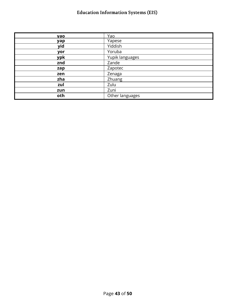| yao | Yao             |
|-----|-----------------|
| yap | Yapese          |
| yid | Yiddish         |
| yor | Yoruba          |
| ypk | Yupik languages |
| znd | Zande           |
| zap | Zapotec         |
| zen | Zenaga          |
| zha | Zhuang          |
| zul | Zulu            |
| zun | Zuni            |
| oth | Other languages |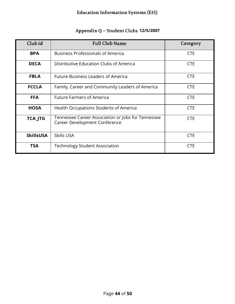<span id="page-47-0"></span>

| Club id          | <b>Full Club Name</b>                                                               | Category   |
|------------------|-------------------------------------------------------------------------------------|------------|
| <b>BPA</b>       | <b>Business Professionals of America</b>                                            | <b>CTE</b> |
| <b>DECA</b>      | Distributive Education Clubs of America                                             | <b>CTE</b> |
| <b>FBLA</b>      | <b>Future Business Leaders of America</b>                                           | <b>CTE</b> |
| <b>FCCLA</b>     | Family, Career and Community Leaders of America                                     | <b>CTE</b> |
| <b>FFA</b>       | <b>Future Farmers of America</b>                                                    | <b>CTE</b> |
| <b>HOSA</b>      | Health Occupations Students of America                                              | <b>CTE</b> |
| <b>TCA_JTG</b>   | Tennessee Career Association or Jobs for Tennessee<br>Career Development Conference | <b>CTE</b> |
| <b>SkillsUSA</b> | Skills USA                                                                          | <b>CTE</b> |
| <b>TSA</b>       | <b>Technology Student Association</b>                                               | <b>CTE</b> |

#### Appendix Q - Student Clubs 12/5/2007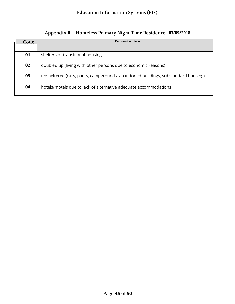<span id="page-48-0"></span>

| C.J. | $D^{\alpha}$                                                                     |
|------|----------------------------------------------------------------------------------|
|      |                                                                                  |
| 01   | shelters or transitional housing                                                 |
| 02   | doubled up (living with other persons due to economic reasons)                   |
| 03   | unsheltered (cars, parks, campgrounds, abandoned buildings, substandard housing) |
| 04   | hotels/motels due to lack of alternative adequate accommodations                 |

#### Appendix R - Homeless Primary Night Time Residence 03/09/2018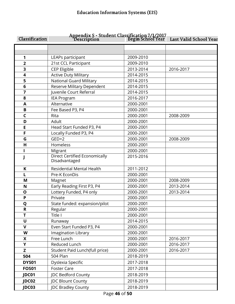<span id="page-49-0"></span>

| Classification | Appendix S - Student Classification 7/1/2017<br>Begin School Year هاتا |           | Last Valid School Year |
|----------------|------------------------------------------------------------------------|-----------|------------------------|
|                |                                                                        |           |                        |
| 1              | LEAPs participant                                                      | 2009-2010 |                        |
| $\overline{2}$ | 21st CCL Participant                                                   | 2009-2010 |                        |
| 3              | CEP Eligible                                                           | 2013-2014 | 2016-2017              |
| 4              | <b>Active Duty Military</b>                                            | 2014-2015 |                        |
| 5              | <b>National Guard Military</b>                                         | 2014-2015 |                        |
| 6              | Reserve Military Dependent                                             | 2014-2015 |                        |
| 7              | Juvenile Court Referral                                                | 2014-2015 |                        |
| 8              | <b>IEA Program</b>                                                     | 2016-2017 |                        |
| A              | Alternative                                                            | 2000-2001 |                        |
| B              | Fee Based P3, P4                                                       | 2000-2001 |                        |
| $\mathsf{C}$   | Rita                                                                   | 2000-2001 | 2008-2009              |
| D              | Adult                                                                  | 2000-2001 |                        |
| E              | Head Start Funded P3, P4                                               | 2000-2001 |                        |
| F              | Locally Funded P3, P4                                                  | 2000-2001 |                        |
| G              | $GED+2$                                                                | 2000-2001 | 2008-2009              |
| H              | Homeless                                                               | 2000-2001 |                        |
|                | Migrant                                                                | 2000-2001 |                        |
|                | <b>Direct Certified Economically</b><br>Disadvantaged                  | 2015-2016 |                        |
| K              | <b>Residential Mental Health</b>                                       | 2011-2012 |                        |
|                | Pre-K EconDis                                                          | 2000-2001 |                        |
| M              | Magnet                                                                 | 2000-2001 | 2008-2009              |
| N              | Early Reading First P3, P4                                             | 2000-2001 | 2013-2014              |
| $\mathbf{o}$   | Lottery Funded, P4 only                                                | 2000-2001 | 2013-2014              |
| P              | Private                                                                | 2000-2001 |                        |
| Q              | State funded: expansion/pilot                                          | 2000-2001 |                        |
| R              | Regular                                                                | 2000-2001 |                        |
| T              | Title I                                                                | 2000-2001 |                        |
| $\mathbf U$    | Runaway                                                                | 2014-2015 |                        |
| $\mathbf{V}$   | Even Start Funded P3, P4                                               | 2000-2001 |                        |
| W              | Imagination Library                                                    | 2000-2001 |                        |
| X              | Free Lunch                                                             | 2000-2001 | 2016-2017              |
| Y              | Reduced Lunch                                                          | 2000-2001 | 2016-2017              |
| Z              | Student Paid Lunch(full price)                                         | 2000-2001 | 2016-2017              |
| 504            | 504 Plan                                                               | 2018-2019 |                        |
| DYS01          | Dyslexia Specific                                                      | 2017-2018 |                        |
| <b>FOS01</b>   | <b>Foster Care</b>                                                     | 2017-2018 |                        |
| JDC01          | JDC Bedford County                                                     | 2018-2019 |                        |
| JDC02          | <b>JDC Blount County</b>                                               | 2018-2019 |                        |
| JDC03          | JDC Bradley County                                                     | 2018-2019 |                        |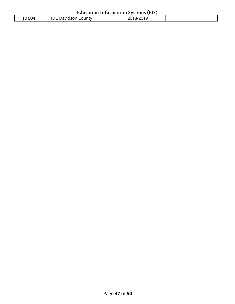| <b>Education Information Systems (EIS)</b> |                     |           |  |
|--------------------------------------------|---------------------|-----------|--|
| IDC04                                      | JDC Davidson County | 2018-2019 |  |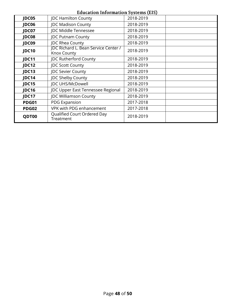#### **JDC05** | JDC Hamilton County | 2018-2019 **JDC06** JDC Madison County 2018-2019 **JDC07** JDC Middle Tennessee 2018-2019 **JDC08** | JDC Putnam County | 2018-2019 **JDC09** JDC Rhea County 2018-2019 **JDC Richard L. Bean Service Center /<br><b>JDC10** *Lenoy County* Knox County 2018-2019 **JDC11** | JDC Rutherford County | 2018-2019 **JDC12** | JDC Scott County | 2018-2019 **JDC13** | JDC Sevier County | 2018-2019 **JDC14** | JDC Shelby County | 2018-2019 **JDC15** JDC UHS/McDowell 2018-2019 **JDC16** | JDC Upper East Tennessee Regional | 2018-2019 **JDC17** JDC Williamson County 2018-2019 **PDG01** PDG Expansion 2017-2018 **PDG02** VPK with PDG enhancement 2017-2018 **QDT00** Qualified Court Ordered Day 2018-2019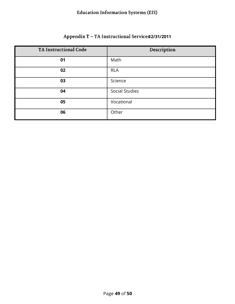#### Appendix T - TA Instructional Services 2/31/2011

<span id="page-52-0"></span>

| <b>TA Instructional Code</b> | Description           |
|------------------------------|-----------------------|
| 01                           | Math                  |
| 02                           | <b>RLA</b>            |
| 03                           | Science               |
| 04                           | <b>Social Studies</b> |
| 05                           | Vocational            |
| 06                           | Other                 |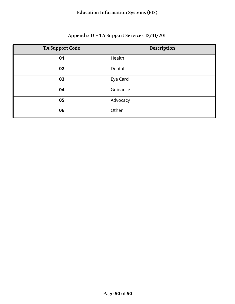#### Appendix U - TA Support Services 12/31/2011

<span id="page-53-0"></span>

| TA Support Code | Description |
|-----------------|-------------|
| 01              | Health      |
| 02              | Dental      |
| 03              | Eye Card    |
| 04              | Guidance    |
| 05              | Advocacy    |
| 06              | Other       |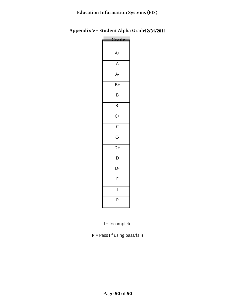<span id="page-54-0"></span>Appendix V-Student Alpha Grade 2/31/2011

| A+             |  |
|----------------|--|
| A              |  |
| A-             |  |
| B+             |  |
| B              |  |
| B-             |  |
| $C+$           |  |
| $\overline{C}$ |  |
| $\overline{C}$ |  |
| D+             |  |
| D              |  |
| D-             |  |
| F              |  |
| I              |  |
| P              |  |
|                |  |

**I** = Incomplete

**P** = Pass (if using pass/fail)